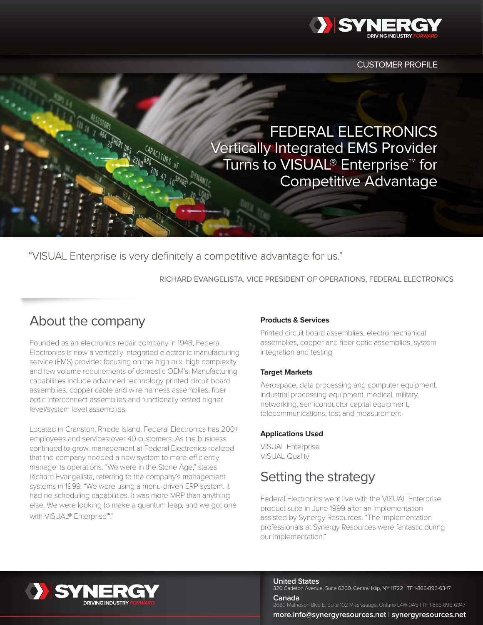

CUSTOMER PROFILE

FEDERAL ELECTRONICS Vertically Integrated EMS Provider Turns to VISUAL® Enterprise™ for Competitive Advantage

"VISUAL Enterprise is very definitely a competitive advantage for us."

RICHARD EVANGELISTA, VICE PRESIDENT OF OPERATIONS, FEDERAL ELECTRONICS

### About the company

Founded as an electronics repair company in 1948, Federal Electronics is now a vertically integrated electronic manufacturing service (EMS) provider focusing on the high mix, high complexity and low volume requirements of domestic OEM's. Manufacturing capabilities include advanced technology printed circuit board assemblies, copper cable and wire harness assemblies, fiber optic interconnect assemblies and functionally tested higher level/system level assemblies.

Located in Cranston, Rhode Island, Federal Electronics has 200+ employees and services over 40 customers. As the business continued to grow, management at Federal Electronics realized that the company needed a new system to more efficiently manage its operations. "We were in the Stone Age," states Richard Evangelista, referring to the company's management systems in 1999. "We were using a menu-driven ERP system. It had no scheduling capabilities. It was more MRP than anything else. We were looking to make a quantum leap, and we got one with VISUAL® Enterprise™."

#### **Products & Services**

Printed circuit board assemblies, electromechanical assemblies, copper and fiber optic assemblies, system integration and testing

#### **Target Markets**

Aerospace, data processing and computer equipment, industrial processing equipment, medical, military, networking, semiconductor capital equipment, telecommunications, test and measurement

#### **Applications Used**

VISUAL Enterprise VISUAL Quality

# Setting the strategy

Federal Electronics went live with the VISUAL Enterprise product suite in June 1999 after an implementation assisted by Synergy Resources. "The implementation professionals at Synergy Resources were fantastic during our implementation."



**United States**

320 Carleton Avenue, Suite 6200, Central Islip, NY 11722 | TF 1-866-896-6347

**Canada** 2680 Matheson Blvd E, Suite 102 Mississauga, Ontario L4W 0A5 | TF 1-866-896-6347

**more.info@synergyresources.net | synergyresources.net**